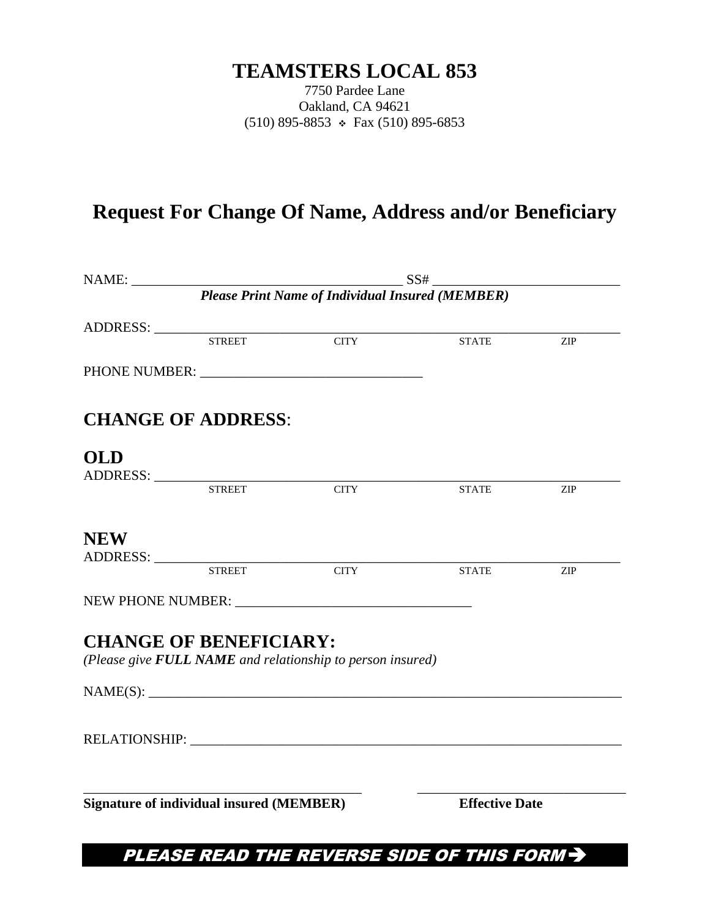## **TEAMSTERS LOCAL 853**

7750 Pardee Lane Oakland, CA 94621 (510) 895-8853  $\div$  Fax (510) 895-6853

# **Request For Change Of Name, Address and/or Beneficiary**

|                                                 |                               | <b>Please Print Name of Individual Insured (MEMBER)</b>    |              |                             |  |
|-------------------------------------------------|-------------------------------|------------------------------------------------------------|--------------|-----------------------------|--|
|                                                 |                               |                                                            |              |                             |  |
|                                                 | <b>STREET</b>                 | <b>CITY</b>                                                | <b>STATE</b> | $\ensuremath{\mathrm{ZIP}}$ |  |
|                                                 |                               |                                                            |              |                             |  |
|                                                 | <b>CHANGE OF ADDRESS:</b>     |                                                            |              |                             |  |
| <b>OLD</b>                                      | ADDRESS: STREET               |                                                            |              |                             |  |
|                                                 |                               | <b>CITY</b>                                                | <b>STATE</b> | ZIP                         |  |
| <b>NEW</b>                                      |                               |                                                            |              |                             |  |
|                                                 | ADDRESS: STREET               | <b>CITY</b>                                                | <b>STATE</b> | $\ensuremath{\mathrm{ZIP}}$ |  |
|                                                 |                               |                                                            |              |                             |  |
|                                                 | <b>CHANGE OF BENEFICIARY:</b> | (Please give FULL NAME and relationship to person insured) |              |                             |  |
|                                                 |                               | NAME(S):                                                   |              |                             |  |
|                                                 |                               |                                                            |              |                             |  |
| <b>Signature of individual insured (MEMBER)</b> |                               |                                                            |              | <b>Effective Date</b>       |  |
|                                                 |                               |                                                            |              |                             |  |

PLEASE READ THE REVERSE SIDE OF THIS FORM >